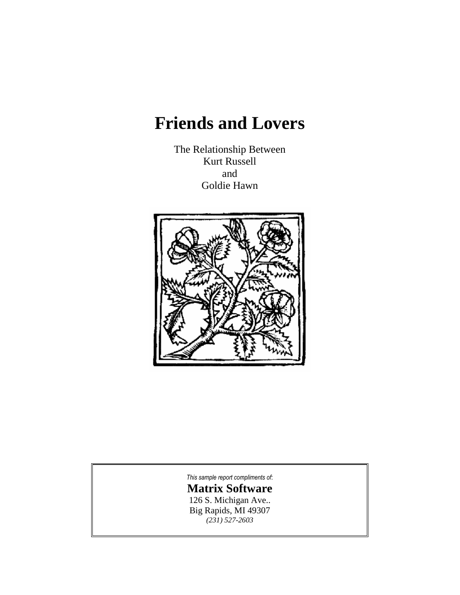# **Friends and Lovers**

The Relationship Between Kurt Russell and Goldie Hawn



*This sample report [compliments](http://www.astrologysoftware.com/software/rws/friends/pro_friends.asp?orig=) of*: **Matrix [Software](http://www.astrologysoftware.com/software/rws/friends/pro_friends.asp?orig=)** 126 S. [Michigan](http://www.astrologysoftware.com/software/rws/friends/pro_friends.asp?orig=) Ave.. Big [Rapids,](http://www.astrologysoftware.com/software/rws/friends/pro_friends.asp?orig=) MI 49307 *(231) [527-2603](http://www.astrologysoftware.com/software/rws/friends/pro_friends.asp?orig=)*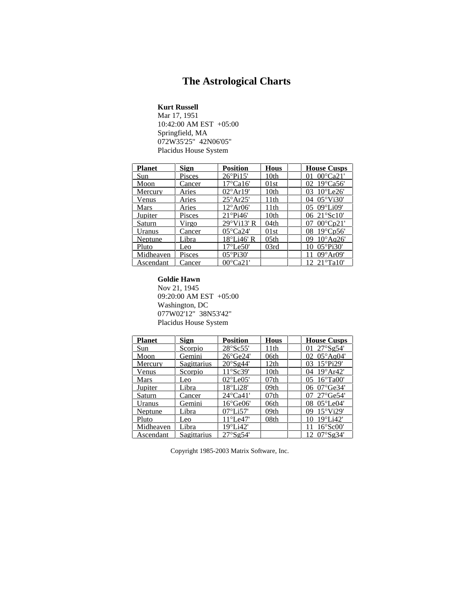# **The Astrological Charts**

**Kurt Russell**

Mar 17, 1951 10:42:00 AM EST+05:00 Springfield, MA 072W35'25" 42N06'05" Placidus House System

| <b>Planet</b> | <b>Sign</b>   | <b>Position</b>    | <b>Hous</b> | <b>House Cusps</b>              |  |
|---------------|---------------|--------------------|-------------|---------------------------------|--|
| Sun           | Pisces        | $26^{\circ}P_115'$ | 10th        | $00^{\circ}$ Ca21'              |  |
| Moon          | Cancer        | 17°Ca16'           | 01st        | $19^{\circ}$ Ca56'              |  |
| Mercury       | Aries         | $02^{\circ}$ Ar19' | 10th        | $10^{\circ}$ Le $26'$           |  |
| Venus         | Aries         | $25^\circ$ Ar25'   | 11th        | $05^{\circ}$ Vi30'<br>$^{(14)}$ |  |
| Mars          | Aries         | 12°Ar06'           | 11th        | $09^{\circ}$ Li $09'$<br>05     |  |
| Jupiter       | Pisces        | $21^{\circ}$ Pi46' | 10th        | 06 21°Sc10'                     |  |
| Saturn        | Virgo         | $29°$ Vi13' R      | 04th        | $00^{\circ}$ Cn $21^{\circ}$    |  |
| Uranus        | Cancer        | $05^{\circ}$ Ca24' | 01st        | $19^{\circ}$ Cp56'<br>08        |  |
| Neptune       | Libra         | 18°Li46' R         | 05th        | $10^{\circ}$ Aq26'<br>09        |  |
| Pluto         | Leo           | $17^{\circ}$ Le50' | 03rd        | $05^{\circ}$ Pi30'              |  |
| Midheaven     | <b>Pisces</b> | $05^{\circ}$ Pi30' |             | $09^\circ Ar09'$                |  |
| Ascendant     | Cancer        | $00^{\circ}$ Ca21  |             | $21^{\circ}$ Ta $10^{\circ}$    |  |

#### **Goldie Hawn**

Nov 21, 1945 09:20:00 AM EST+05:00 Washington, DC 077W02'12" 38N53'42" Placidus House System

| <b>Planet</b> | <b>Sign</b>        | <b>Position</b>              | <b>Hous</b>      | <b>House Cusps</b>        |
|---------------|--------------------|------------------------------|------------------|---------------------------|
| Sun           | Scorpio            | 28°Sc55'                     | 11th             | 27°Sg54'                  |
| Moon          | Gemini             | $26^{\circ}$ Ge24'           | 06th             | 02 $05^{\circ}$ Aq04'     |
| Mercury       | <b>Sagittarius</b> | $20^{\circ}$ Sg44'           | 12th             | $15^{\circ}$ Pi29'<br>03  |
| Venus         | Scorpio            | 11°Sc39'                     | 10th             | $19^{\circ}$ Ar42'<br>04  |
| Mars          | Leo                | $02^{\circ}$ Le $05^{\circ}$ | 07 <sub>th</sub> | $16^{\circ}$ Ta00'<br>05. |
| Jupiter       | Libra              | $18^{\circ}$ Li28'           | 09th             | 06 $07^{\circ}$ Ge34'     |
| Saturn        | Cancer             | $24^{\circ}$ Ca41'           | 07 <sub>th</sub> | $27^{\circ}$ Ge54'        |
| Uranus        | Gemini             | $16^{\circ}$ Ge06'           | 06th             | $05^{\circ}$ Le04'<br>08. |
| Neptune       | Libra              | $07^{\circ}$ Li57'           | 09th             | $15^{\circ}$ Vi29'<br>09  |
| Pluto         | Leo                | $11^{\circ}$ Le47'           | 08th             | $19^{\circ}$ Li $42'$     |
| Midheaven     | Libra              | $19^{\circ}$ Li42'           |                  | $16^{\circ}$ Sc00'        |
| Ascendant     | Sagittarius        | 27°Sg54'                     |                  | $07°$ Sg34'<br>12         |

Copyright 1985-2003 Matrix Software, Inc.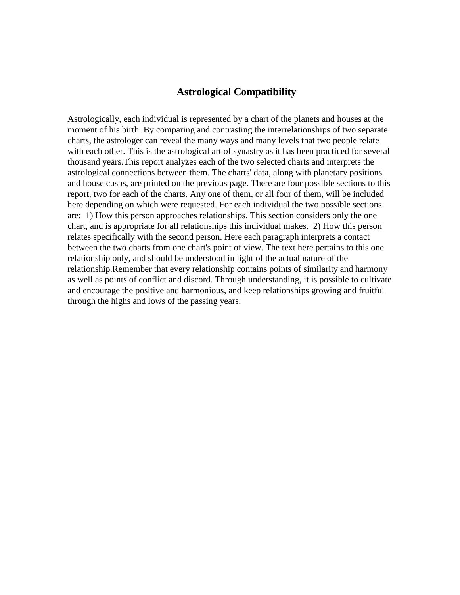# **Astrological Compatibility**

Astrologically, each individual is represented by a chart of the planets and houses at the moment of his birth. By comparing and contrasting the interrelationships of two separate charts, the astrologer can reveal the many ways and many levels that two people relate with each other. This is the astrological art of synastry as it has been practiced for several thousand years.This report analyzes each of the two selected charts and interprets the astrological connections between them. The charts' data, along with planetary positions and house cusps, are printed on the previous page. There are four possible sections to this report, two for each of the charts. Any one of them, or all four of them, will be included here depending on which were requested. For each individual the two possible sections are: 1) How this person approaches relationships. This section considers only the one chart, and is appropriate for all relationships this individual makes. 2) How this person relates specifically with the second person. Here each paragraph interprets a contact between the two charts from one chart's point of view. The text here pertains to this one relationship only, and should be understood in light of the actual nature of the relationship.Remember that every relationship contains points of similarity and harmony as well as points of conflict and discord. Through understanding, it is possible to cultivate and encourage the positive and harmonious, and keep relationships growing and fruitful through the highs and lows of the passing years.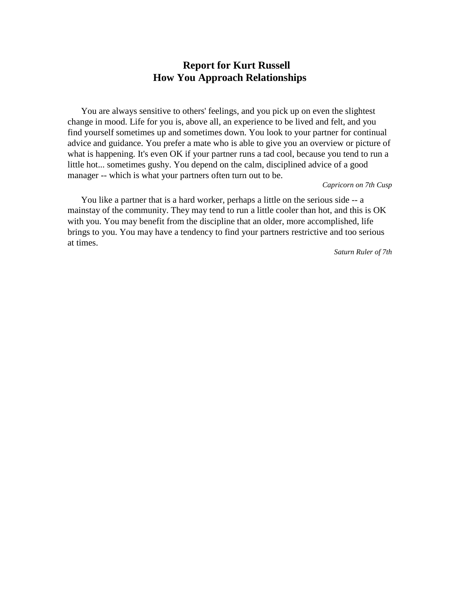# **Report for Kurt Russell How You Approach Relationships**

You are always sensitive to others' feelings, and you pick up on even the slightest change in mood. Life for you is, above all, an experience to be lived and felt, and you find yourself sometimes up and sometimes down. You look to your partner for continual advice and guidance. You prefer a mate who is able to give you an overview or picture of what is happening. It's even OK if your partner runs a tad cool, because you tend to run a little hot... sometimes gushy. You depend on the calm, disciplined advice of a good manager -- which is what your partners often turn out to be.

*Capricorn on 7th Cusp*

You like a partner that is a hard worker, perhaps a little on the serious side -- a mainstay of the community. They may tend to run a little cooler than hot, and this is OK with you. You may benefit from the discipline that an older, more accomplished, life brings to you. You may have a tendency to find your partners restrictive and too serious at times.

*Saturn Ruler of 7th*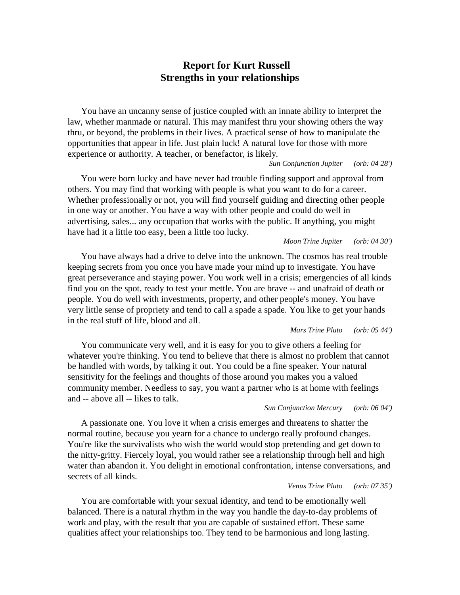# **Report for Kurt Russell Strengths in your relationships**

You have an uncanny sense of justice coupled with an innate ability to interpret the law, whether manmade or natural. This may manifest thru your showing others the way thru, or beyond, the problems in their lives. A practical sense of how to manipulate the opportunities that appear in life.Just plain luck! A natural love for those with more experience or authority. A teacher, or benefactor, is likely.

## *Sun Conjunction Jupiter (orb: 04 28')*

You were born lucky and have never had trouble finding support and approval from others. You may find that working with people is what you want to do for a career. Whether professionally or not, you will find yourself guiding and directing other people in one way or another. You have a way with other people and could do well in advertising, sales... any occupation that works with the public. If anything, you might have had it a little too easy, been a little too lucky.

#### *Moon Trine Jupiter (orb: 04 30')*

You have always had a drive to delve into the unknown. The cosmos has real trouble keeping secrets from you once you have made your mind up to investigate. You have great perseverance and staying power. You work well in a crisis; emergencies of all kinds find you on the spot, ready to testyour mettle. You are brave -- and unafraid of death or people. You do well with investments, property, and other people's money. You have very little sense of propriety and tend to calla spade a spade. You like to get your hands in the real stuff of life, blood and all.

## *Mars Trine Pluto (orb: 05 44')*

You communicate very well, and it is easy for you to give others a feeling for whatever you're thinking. You tend to believe that there is almost no problem that cannot be handled with words, by talking it out. You could be a fine speaker. Your natural sensitivity for the feelings and thoughts of those around you makes you a valued community member. Needless to say, you want a partner who is at home with feelings and -- above all-- likes to talk.

#### *Sun Conjunction Mercury (orb: 06 04')*

A passionate one. You love it when a crisis emerges and threatens to shatter the normal routine, because you yearn for a chance to undergo really profound changes. You're like the survivalists who wish the world would stop pretending and get down to the nitty-gritty. Fiercely loyal, you would rather see a relationship through hell and high water than abandon it. You delight in emotional confrontation, intense conversations, and secrets of all kinds.

#### *Venus Trine Pluto (orb: 07 35')*

You are comfortable with your sexual identity, and tend to be emotionally well balanced. There is a natural rhythm in the way you handle the day-to-day problems of work and play, with the result that you are capable of sustained effort. These same qualities affect your relationships too. They tend to be harmonious and long lasting.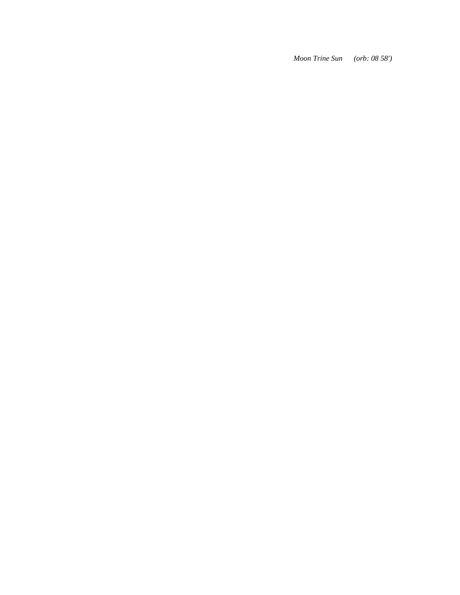*Moon Trine Sun (orb: 08 58')*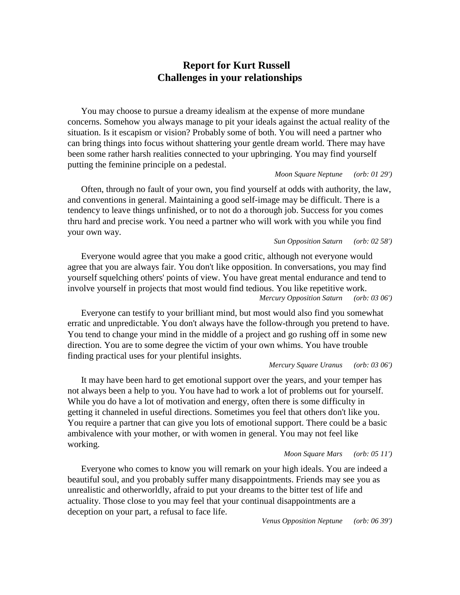# **Report for Kurt Russell Challenges in your relationships**

You may choose to pursue a dreamy idealism at the expense of more mundane concerns. Somehow you always manage to pit your ideals against the actual reality of the situation. Is itescapism or vision? Probably some of both. You will need a partner who can bring things into focus without shattering your gentle dream world. There may have been some rather harsh realities connected to your upbringing. You may find yourself putting the feminine principle on a pedestal.

## *Moon Square Neptune (orb: 01 29')*

Often, through no fault of your own, you find yourself at odds with authority, the law, and conventions in general. Maintaining a good self-image may be difficult. There is a tendency to leave things unfinished, or to not do a thorough job. Success for you comes thru hard and precise work. You need a partner who will work with you while you find your own way.

## *Sun Opposition Saturn (orb: 02 58')*

Everyone would agree that you make a good critic, although not everyone would agree that you are always fair. You don't like opposition. In conversations, you may find yourself squelching others' points of view. You have great mental endurance and tend to involve yourself in projects that most would find tedious. You like repetitive work. *Mercury Opposition Saturn (orb: 03 06')*

Everyone can testify to your brilliant mind, but most would also find you somewhat erratic and unpredictable. You don't always have the follow-through you pretend to have. You tend to change your mind in the middle of a project and go rushing off in some new direction. You are to some degree the victim of your own whims. You have trouble finding practical uses for your plentiful insights.

## *Mercury Square Uranus (orb: 03 06')*

It may have been hard to get emotional support over the years, and your temper has not always been a help to you. You have had to work a lot of problems out for yourself. While you do have a lot of motivation and energy, often there is some difficulty in getting it channeled in useful directions. Sometimes you feel that others don't like you. You require a partner that can give you lots of emotional support. There could be a basic ambivalence with your mother, or with women in general. You may not feel like working.

## *Moon Square Mars (orb: 05 11')*

Everyone who comes to know you will remark on your high ideals. You are indeed a beautiful soul, and you probably suffer many disappointments. Friends may see you as unrealistic and otherworldly, afraid to put your dreams to the bitter test of life and actuality. Those close to you may feel that your continual disappointments are a deception on your part, a refusal to face life.

*Venus Opposition Neptune (orb: 06 39')*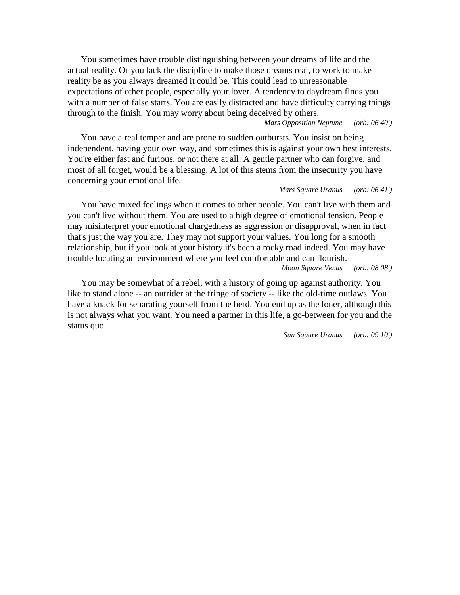You sometimes have trouble distinguishing between your dreams of life and the actual reality. Or you lack the discipline to make those dreams real, to work to make reality be as you always dreamed it could be. This could lead to unreasonable expectations of other people, especially your lover. A tendency to daydream finds you with a number of false starts. You are easily distracted and have difficulty carrying things through to the finish. You may worry about being deceived by others.

*Mars Opposition Neptune (orb: 06 40')*

You have a real temper and are prone to sudden outbursts. You insist on being independent, having your own way, and sometimes this is against your own best interests. You're either fast and furious, or not there at all. A gentle partner who can forgive, and most of all forget, would be a blessing. A lot of this stems from the insecurity you have concerning your emotional life.

## *Mars Square Uranus (orb: 06 41')*

You have mixed feelings when it comes to other people. You can't live with them and you can't live without them. You are used to a high degree of emotional tension. People may misinterpret your emotional chargedness as aggression or disapproval, when in fact that's just the way you are. They may not support your values. You long for a smooth relationship, but if you look at your history it's been a rocky road indeed. You may have trouble locating an environment where you feel comfortable and can flourish. *Moon Square Venus (orb: 08 08')*

You may be somewhat of a rebel, with a history of going up against authority. You like to stand alone -- an outrider at the fringe of society -- like the old-time outlaws. You have a knack for separating yourself from the herd. You end up as the loner, although this is not always what you want. You need a partner in this life, a go-between for you and the status quo.

*Sun Square Uranus (orb: 09 10')*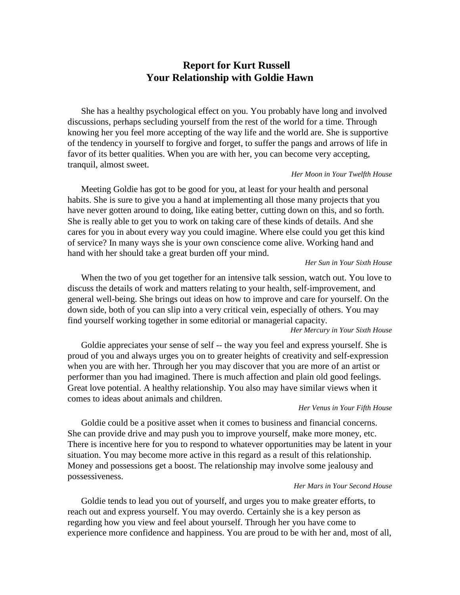# **Report for Kurt Russell Your Relationship with Goldie Hawn**

She has a healthy psychological effect on you. You probably have long and involved discussions, perhaps secluding yourself from the rest of the world for a time. Through knowing her you feel more accepting of the way life and the world are. She is supportive of the tendency in yourself to forgive and forget, to suffer the pangs and arrows of life in favor of its better qualities. When you are with her, you can become very accepting, tranquil, almost sweet.

## *Her Moon in Your Twelfth House*

Meeting Goldie has got to be good for you, at least for your health and personal habits. She is sure to give you a hand at implementing all those many projects that you have never gotten around to doing, like eating better, cutting down on this, and so forth. She is really able to get you to work on taking care of these kinds of details. And she cares for you in about every way you could imagine. Where else could you get this kind of service? In many ways she is your own conscience come alive. Working hand and hand with her should take a great burden off your mind.

## *Her Sun in Your Sixth House*

When the two of you get together for an intensive talk session, watch out.You love to discuss the details of work and matters relating to your health, self-improvement, and general well-being. She brings out ideas on how to improve and care for yourself. On the down side, both of you can slip into a very critical vein, especially of others. You may find yourself working together in some editorial or managerial capacity. *Her Mercury in Your Sixth House*

Goldie appreciates your sense of self -- the way you feel and express yourself. She is proud of you and always urges you on to greater heights of creativity and self-expression when you are with her. Through her you may discover that you are more of an artist or performer than you had imagined. There is much affection and plain old good feelings. Great love potential. A healthy relationship. You also may have similar views when it comes to ideas about animals and children.

#### *Her Venus in Your Fifth House*

Goldie could be a positive asset when it comes to business and financial concerns. She can provide drive and may push you to improve yourself, make more money, etc. There is incentive here for you to respond to whatever opportunities may be latent in your situation. You may become more active in this regard as a result of this relationship. Money and possessions get a boost. The relationship may involve some jealousy and possessiveness.

#### *Her Mars in Your Second House*

Goldie tends to lead you out of yourself, and urges you to make greater efforts, to reach out and express yourself. You may overdo. Certainly she is a key person as regarding how you view and feel about yourself. Through her you have come to experience more confidence and happiness. You are proud to be with her and, most of all,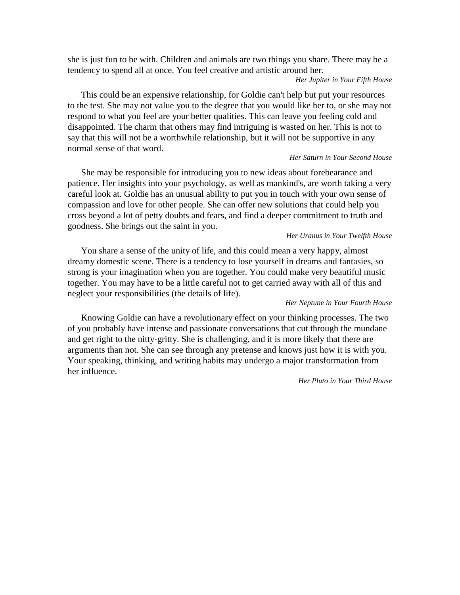she is just fun to be with. Children and animals are two things you share. There may be a tendency to spend all at once. You feel creative and artistic around her.

## *Her Jupiter in Your Fifth House*

This could be an expensive relationship, for Goldie can't help but put your resources to the test. She may not value you to the degree that you would like her to, or she may not respond to what you feel are your better qualities. This can leave you feeling cold and disappointed. The charm that others may find intriguing is wasted on her. This is not to say that this will not be a worthwhile relationship, but it will not be supportive in any normal sense of that word.

## *Her Saturn in Your Second House*

She may be responsible for introducing you to new ideas about forebearance and patience. Her insights into your psychology, as well as mankind's, are worth taking a very careful look at. Goldie has an unusual ability to put you in touch with your own sense of compassion and love for other people. She can offer new solutions that could help you cross beyond a lot of petty doubts and fears, and find a deeper commitment to truth and goodness. She brings out the saint in you.

# *Her Uranus in Your Twelfth House*

You share a sense of the unity of life, and this could mean a very happy, almost dreamy domestic scene. There is a tendency to lose yourself in dreams and fantasies, so strong is your imagination when you are together. You could make very beautiful music together. You may have to be a little careful not to get carried away with all of this and neglect your responsibilities (the details of life).

# *Her Neptune in Your Fourth House*

Knowing Goldie can have a revolutionary effect on your thinking processes. The two of you probably have intense and passionate conversations that cut through the mundane and get right to the nitty-gritty. She is challenging, and it is more likely that there are arguments than not. She can see through any pretense and knows just how it is with you. Your speaking, thinking, and writing habits may undergo a major transformation from her influence.

# *Her Pluto in Your Third House*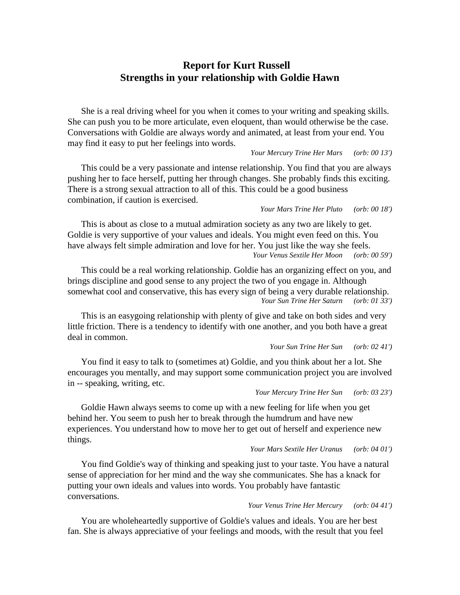# **Report for Kurt Russell Strengths in your relationship with Goldie Hawn**

She is a real driving wheel for you when it comes to your writing and speaking skills. She can push you to be more articulate, even eloquent, than would otherwise be the case. Conversations with Goldie are always wordy and animated, at least from your end. You may find it easy to put her feelings into words.

## *Your Mercury Trine Her Mars (orb: 00 13')*

This could be a very passionate and intense relationship. You find that you are always pushing her to face herself, putting her through changes. She probably finds this exciting. There is a strong sexual attraction to all of this. This could be a good business combination, if caution is exercised.

*Your Mars Trine Her Pluto (orb: 00 18')*

This is about as close to a mutual admiration society as any two are likely to get. Goldie is very supportive of your values and ideals. You might even feed on this. You have always felt simple admiration and love for her. You just like the way she feels. *Your Venus Sextile Her Moon (orb: 00 59')*

This could be a real working relationship. Goldie has an organizing effect on you, and brings discipline and good sense to any project the two of you engage in. Although somewhat cool and conservative, this has every sign of being a very durable relationship. *Your Sun Trine Her Saturn (orb: 01 33')*

This is an easygoing relationship with plenty of give and take on both sides and very little friction. There is a tendency to identify with one another, and you both have a great deal in common.

*Your Sun Trine Her Sun (orb: 02 41')*

You find it easy to talk to (sometimes at) Goldie, and you think about her a lot. She encourages you mentally, and may support some communication project you are involved in -- speaking, writing, etc.

*Your Mercury Trine Her Sun (orb: 03 23')*

Goldie Hawn always seems to come up with a new feeling for life when you get behind her. You seem to push her to break through the humdrum and have new experiences. You understand how to move her to get out of herself and experience new things.

*Your Mars Sextile Her Uranus (orb: 04 01')*

You find Goldie's way of thinking and speaking just to your taste. You have a natural sense of appreciation for her mind and the way she communicates. She has a knack for putting your own ideals and values into words. You probably have fantastic conversations.

*Your Venus Trine Her Mercury (orb: 04 41')*

You are wholeheartedly supportive of Goldie's values and ideals. You are her best fan. She is always appreciative of your feelings and moods, with the result that you feel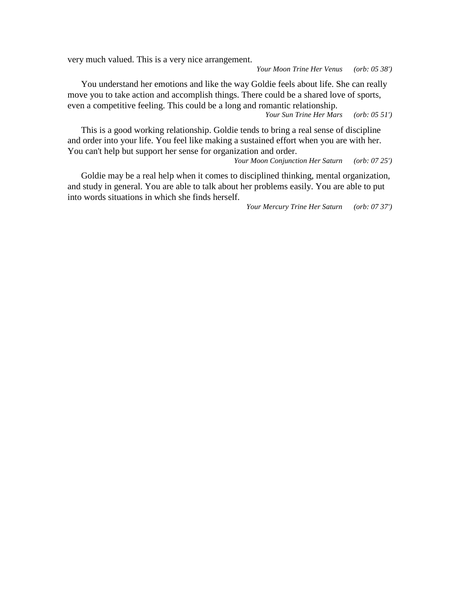very much valued. This is a very nice arrangement.

*Your Moon Trine Her Venus (orb: 05 38')*

You understand her emotions and like the way Goldie feels about life. She can really move you to take action and accomplish things. There could be a shared love of sports, even a competitive feeling. This could be a long and romantic relationship.

*Your Sun Trine Her Mars (orb: 05 51')*

This is a good working relationship. Goldie tends to bring a real sense of discipline and order into your life. You feel like making a sustained effort when you are with her.<br>You can't help but support her sense for organization and order.<br>*Your Moon Conjunction Her Saturn* (*orb*: 07 25')

*Your Moon Conjunction Her Saturn (orb: 07 25')*

Goldie may be a real help when it comes to disciplined thinking, mental organization, and study in general. You are able to talk about her problems easily. You are able to put into words situations in which she finds herself.

*Your Mercury Trine Her Saturn (orb: 07 37')*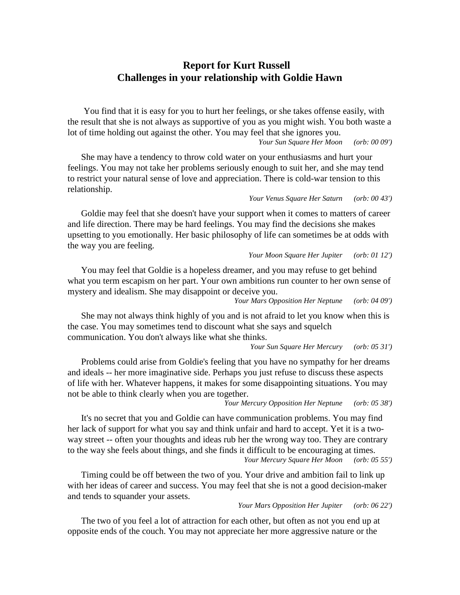# **Report for Kurt Russell Challenges in your relationship with Goldie Hawn**

You find that it is easy for you to hurt her feelings, or she takes offense easily, with the result that she is not always as supportive of you as you might wish. You both waste a lot of time holding out against the other. You may feel that she ignores you.<br>*Your Sun Square Her Moon* (orb: 00 09') *Your Sun Square Her Moon* 

She may have a tendency to throw cold water on your enthusiasms and hurt your feelings. You may not take her problems seriously enough to suit her, and she may tend to restrict your natural sense of love and appreciation. There is cold-war tension to this relationship.

# *Your Venus Square Her Saturn (orb: 00 43')*

Goldie may feel that she doesn't have your support when it comes to matters of career and life direction. There may be hard feelings. You may find the decisions she makes upsetting to you emotionally. Her basic philosophy of life can sometimes be at odds with the way you are feeling.

#### *Your Moon Square Her Jupiter (orb: 01 12')*

You may feel that Goldie is a hopeless dreamer, and you may refuse to get behind what you term escapism on her part. Your own ambitions run counter to her own sense of mystery and idealism. She may disappoint or deceive you.

*Your Mars Opposition Her Neptune (orb: 04 09')*

She may not always think highly of you and is not afraid to let you know when this is the case. You may sometimes tend to discount what she says and squelch communication. You don't always like what she thinks.

*Your Sun Square Her Mercury (orb: 05 31')*

Problems could arise from Goldie's feeling that you have no sympathy for her dreams and ideals -- her more imaginative side. Perhaps you just refuse to discuss these aspects of life with her.Whatever happens, it makes for some disappointing situations. You may not be able to think clearly when you are together.

*Your Mercury Opposition Her Neptune (orb: 05 38')*

It's no secret that you and Goldie can have communication problems. You may find her lack of support for what you say and think unfair and hard to accept. Yet it is a two way street -- often your thoughts and ideas rub her the wrong way too. They are contrary to the way she feels about things, and she finds it difficult to be encouraging at times. *Your Mercury Square Her Moon (orb: 05 55')*

Timing could be off between the two of you. Your drive and ambition fail to link up with her ideas of career and success. You may feel that she is not a good decision-maker and tends to squander your assets.

*Your Mars Opposition Her Jupiter (orb: 06 22')*

The two of you feel a lot of attraction for each other, but often as not you end up at opposite ends of the couch. You may not appreciate her more aggressive nature or the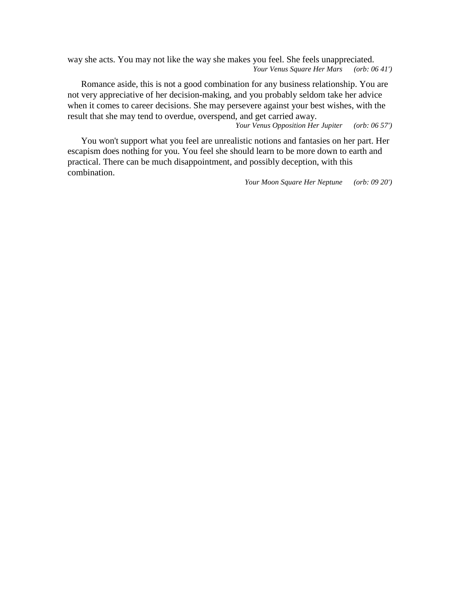way she acts. You may not like the way she makes you feel. She feels unappreciated. *Your Venus Square Her Mars (orb: 06 41')*

Romance aside, this is not a good combination for any business relationship. You are not very appreciative of her decision-making, and you probably seldom take her advice when it comes to career decisions. She may persevere against your best wishes, with the result that she may tend to overdue, overspend, and get carried away.

*Your Venus Opposition Her Jupiter (orb: 06 57')*

You won't support what you feel are unrealistic notions and fantasies on her part. Her escapism does nothing for you. You feel she should learn to be more down to earth and practical. There can be much disappointment, and possibly deception, with this combination.

*Your Moon Square Her Neptune (orb: 09 20')*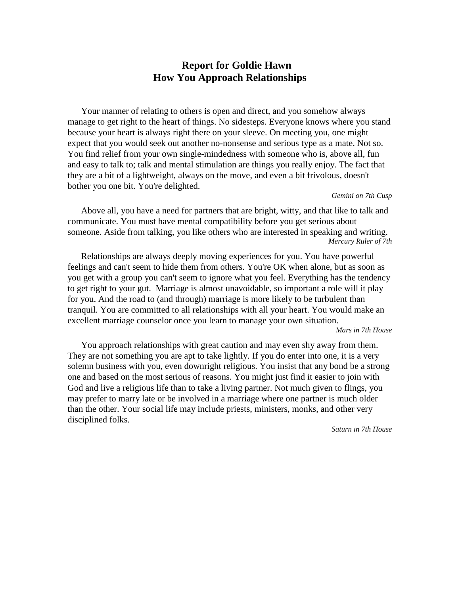# **Report for Goldie Hawn How You Approach Relationships**

Your manner of relating to others is open and direct, and you somehow always manage to get right to the heart of things. No sidesteps. Everyone knows where you stand because your heart is always right there on your sleeve. On meeting you, one might expect that you would seek out another no-nonsense and serious type as a mate. Not so. You find relief from your own single-mindedness with someone who is, above all, fun and easy to talk to; talk and mental stimulation are things you really enjoy. The fact that they are a bit of a lightweight, always on the move, and even a bit frivolous, doesn't bother you one bit. You're delighted.

## *Gemini on 7th Cusp*

Above all, you have a need for partners that are bright, witty, and that like to talk and communicate. You must have mental compatibility before you get serious about someone. Aside from talking, you like others who are interested in speaking and writing. *Mercury Ruler of 7th*

Relationships are always deeply moving experiences for you. You have powerful feelings and can't seem to hide them from others. You're OK when alone, but as soon as you get with a group you can't seem to ignore what you feel. Everything has the tendency to get right to your gut. Marriage is almost unavoidable, so important a role will it play for you. And the road to (and through) marriage is more likely to be turbulent than tranquil. You are committed to all relationships with all your heart. You would make an excellent marriage counselor once you learn to manage your own situation.*Mars in 7th House*

You approach relationships with great caution and may even shy away from them. They are not something you are apt to take lightly. If you do enter into one, it is a very solemn business with you, even downright religious. You insist that any bond be a strong one and based on the most serious of reasons. You might just find it easier to join with God and live a religious life than to take a living partner. Not much given to flings, you may prefer to marry late or be involved in a marriage where one partner is much older than the other. Your social life may include priests, ministers, monks, and other very disciplined folks.

*Saturn in 7th House*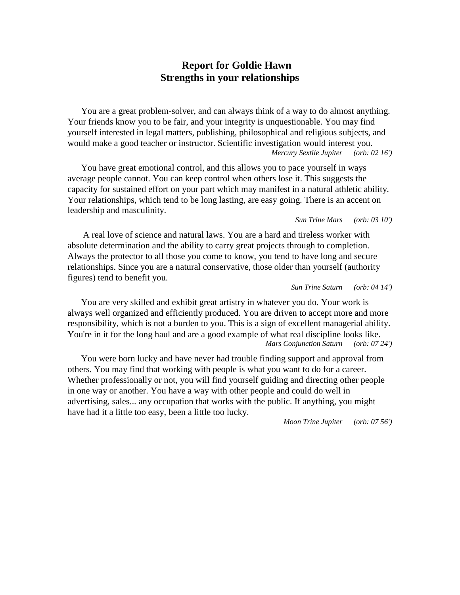# **Report for Goldie Hawn Strengths in your relationships**

You are a great problem-solver, and can always think of a way to do almost anything. Your friends know you to be fair, and your integrity is unquestionable. You may find yourself interested in legal matters, publishing, philosophical and religious subjects, and would make a good teacher or instructor. Scientific investigation would interest you. *Mercury Sextile Jupiter (orb: 02 16')*

You have great emotional control, and this allows you to pace yourself in ways average people cannot. You can keep control when others lose it. This suggests the capacity for sustained effort on your part which may manifest in a natural athletic ability. Your relationships, which tend to be long lasting, are easy going. There is an accent on leadership and masculinity.

#### *Sun Trine Mars (orb: 03 10')*

A real love of science and natural laws. You are a hard and tireless worker with absolute determination and the ability to carry great projects through to completion. Always the protector to all those you come to know, you tend to have long and secure relationships. Since you are a natural conservative, those older than yourself (authority figures) tend to benefit you.

*Sun Trine Saturn (orb: 04 14')*

You are very skilled and exhibit great artistry in whatever you do. Your work is always well organized and efficiently produced. You are driven to accept more and more responsibility, which is not a burden to you. This is a sign of excellent managerial ability. You're in it for the long haul and are a good example of what real discipline looks like. *Mars Conjunction Saturn (orb: 07 24')*

You were born lucky and have never had trouble finding support and approval from others. You may find that working with people is what you want to do for a career. Whether professionally or not, you will find yourself guiding and directing other people in one way or another. You have a way with other people and could do well in advertising, sales... any occupation that works with the public. If anything, you might have had it a little too easy, been a little too lucky.

*Moon Trine Jupiter (orb: 07 56')*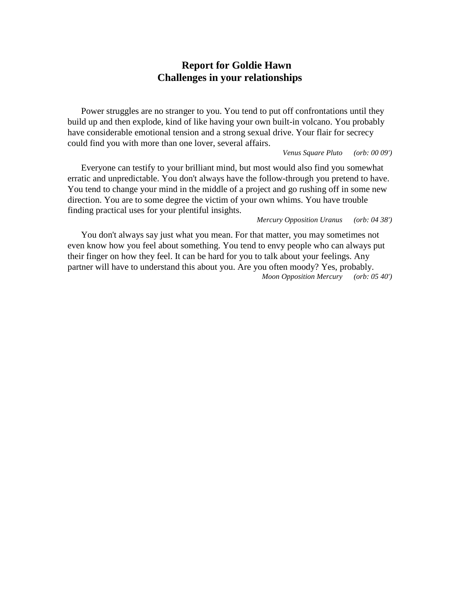# **Report for Goldie Hawn Challenges in your relationships**

Power struggles are no stranger to you. You tend to put off confrontations until they build up and then explode, kind of like having your own built-in volcano. You probably have considerable emotional tension and a strong sexual drive. Your flair for secrecy could find you with more than one lover, several affairs.

*Venus Square Pluto (orb: 00 09')*

Everyone can testify to your brilliant mind, but most would also find you somewhat erratic and unpredictable. You don't always have the follow-through you pretend to have. You tend to change your mind in the middle of a project and go rushing off in some new direction. You are to some degree the victim of your own whims. You have trouble finding practical uses for your plentiful insights.

*Mercury Opposition Uranus (orb: 04 38')*

You don't always say just what you mean. For that matter, you may sometimes not even know how you feel about something. You tend to envy people who can always put their finger on how they feel. It can be hard for you to talk about your feelings. Any partner will have to understand this about you. Are you often moody? Yes, probably. *Moon Opposition Mercury (orb: 05 40')*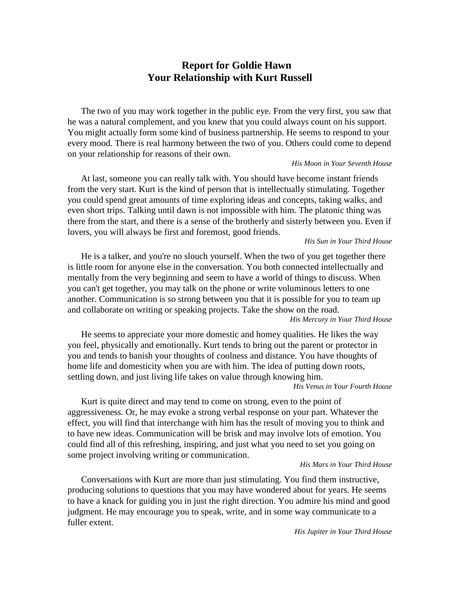# **Report for Goldie Hawn Your Relationship with Kurt Russell**

The two of you may work together in the public eye. From the very first, you saw that he was a natural complement, and you knew that you could always count on his support. You might actually form some kind of business partnership. He seems to respond to your every mood. There is real harmony between the two of you. Others could come to depend on your relationship for reasons of their own.

## *His Moon in Your Seventh House*

At last, someone you can really talk with. You should have become instant friends from the very start. Kurt is the kind of person that is intellectually stimulating. Together you could spend great amounts of time exploring ideas and concepts, taking walks, and even short trips. Talking until dawn is not impossible with him. The platonic thing was there from the start, and there is a sense of the brotherly and sisterly between you. Even if lovers, you will always be first and foremost, good friends.

## *His Sun in Your Third House*

He is a talker, and you're no slouch yourself. When the two of you get together there is little room for anyone else in the conversation. You both connected intellectually and mentally from the very beginning and seem to have a world of things to discuss. When you can't get together, you may talk on the phone or write voluminous letters to one another. Communication is so strong between you that it is possible for you to team up and collaborate on writing or speaking projects. Take the show on the road. *His Mercury in Your Third House*

He seems to appreciate your more domestic and homey qualities. He likes the way you feel, physically and emotionally. Kurt tends to bring out the parent or protector in you and tends to banish your thoughts of coolness and distance. You have thoughts of home life and domesticity when you are with him. The idea of putting down roots, settling down, and just living life takes on value through knowing him.

*His Venus in Your Fourth House*

Kurt is quite direct and may tend to come on strong, even to the point of aggressiveness. Or, he may evoke a strong verbal response on your part. Whatever the effect, you will find that interchange with him has the result of moving you to think and to have new ideas. Communication will be brisk and may involve lots of emotion. You could find all of this refreshing, inspiring, and just what you need to set you going on some project involving writing or communication.

#### *His Mars in Your Third House*

Conversations with Kurt are more than just stimulating. You find them instructive, producing solutions to questions that you may have wondered about for years. He seems to have a knack for guiding you in just the right direction. You admire his mind and good judgment. He may encourage you to speak, write, and in some way communicate to a fuller extent.

*His Jupiter in Your Third House*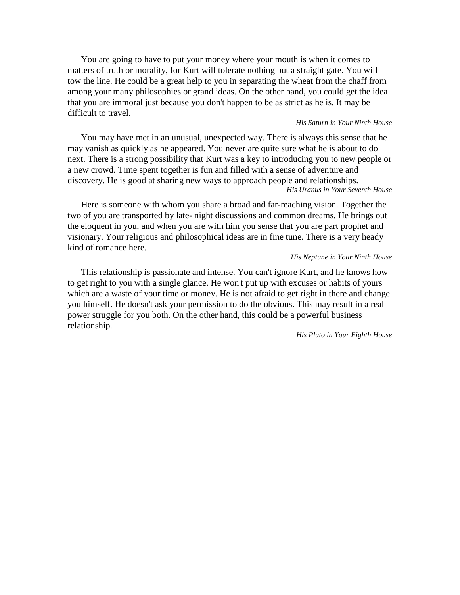You are going to have to put your money where your mouth is when it comes to matters of truth or morality, for Kurt will tolerate nothing but a straight gate. You will tow the line. He could be a great help to you in separating the wheat from the chaff from among your many philosophies or grand ideas. On the other hand, you could get the idea that you are immoral just because you don't happen to be as strict as he is. It may be difficult to travel.

#### *His Saturn in Your Ninth House*

You may have met in an unusual, unexpected way. There is always this sense that he may vanish as quickly as he appeared. You never are quite sure what he is about to do next. There is a strong possibility that Kurt was a key to introducing you to new people or a new crowd. Time spent together is fun and filled with a sense of adventure and discovery. He is good at sharing new ways to approach people and relationships. *His Uranus in Your Seventh House*

Here is someone with whom you share a broad and far-reaching vision. Together the two of you are transported by late- night discussions and common dreams. He brings out the eloquent in you, and when you are with him you sense that you are part prophet and visionary. Your religious and philosophical ideas are in fine tune. There is a very heady kind of romance here.

#### *His Neptune in Your Ninth House*

This relationship is passionate and intense. You can't ignore Kurt, and he knows how to get right to you with a single glance. He won't put up with excuses or habits of yours which are a waste of your time or money. He is not afraid to get right in there and change you himself. He doesn't ask your permission to do the obvious. This may result in a real power struggle for you both. On the other hand, this could be a powerful business relationship.

*His Pluto in Your Eighth House*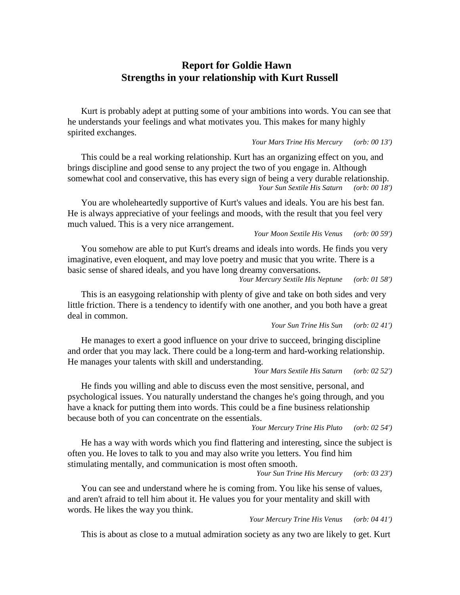# **Report for Goldie Hawn Strengths in your relationship with Kurt Russell**

Kurt is probably adept at putting some of your ambitions into words. You can see that he understands your feelings and what motivates you. This makes for many highly spirited exchanges.

*Your Mars Trine His Mercury (orb: 00 13')*

This could be a real working relationship. Kurt has an organizing effect on you, and brings discipline and good sense to any project the two of you engage in. Although somewhat cool and conservative, this has every sign of being a very durable relationship. *Your Sun Sextile His Saturn (orb: 00 18')*

You are wholeheartedly supportive of Kurt's values and ideals. You are his best fan. He is always appreciative of your feelings and moods, with the result that you feel very much valued. This is a very nice arrangement.

*Your Moon Sextile His Venus (orb: 00 59')*

You somehow are able to put Kurt's dreams and ideals into words. He finds you very imaginative, even eloquent, and may love poetry and music that you write. There is a basic sense of shared ideals, and you have long dreamy conversations.

*Your Mercury Sextile His Neptune (orb: 01 58')*

This is an easygoing relationship with plenty of give and take on both sides and very little friction. There is a tendency to identify with one another, and you both have a great deal in common.

*Your Sun Trine His Sun (orb: 02 41')*

He manages to exert a good influence on your drive to succeed, bringing discipline and order that you may lack. There could be a long-term and hard-working relationship. He manages your talents with skill and understanding.

*Your Mars Sextile His Saturn (orb: 02 52')*

He finds you willing and able to discuss even the most sensitive, personal, and psychological issues. You naturally understand the changes he's going through, and you have a knack for putting them into words. This could be a fine business relationship because both of you can concentrate on the essentials.

*Your Mercury Trine His Pluto (orb: 02 54')*

He has a way with words which you find flattering and interesting, since the subject is often you. He loves to talk to you and may also write you letters. You find him stimulating mentally, and communication is most often smooth.

*Your Sun Trine His Mercury (orb: 03 23')*

You can see and understand where he is coming from. You like his sense of values, and aren't afraid to tell him about it. He values you for your mentality and skill with words. He likes the way you think.

*Your Mercury Trine His Venus (orb: 04 41')*

This is about as close to a mutual admiration society as any two are likely to get. Kurt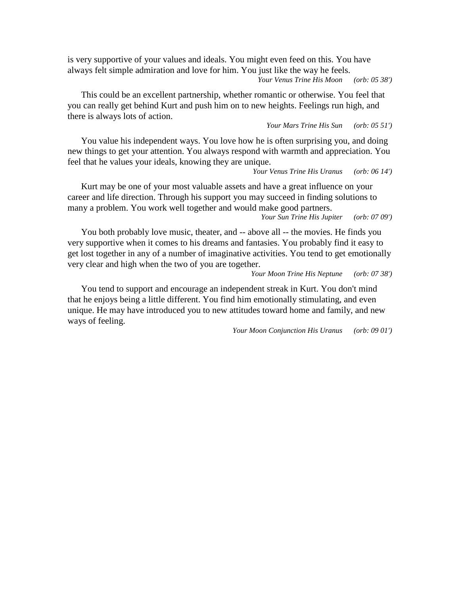is very supportive of your values and ideals. You might even feed on this. You have always felt simple admiration and love for him. You just like the way he feels. *Your Venus Trine His Moon (orb: 05 38')*

This could be an excellent partnership, whether romantic or otherwise. You feel that you can really get behind Kurt and push him on to new heights. Feelings run high, and there is always lots of action.

*Your Mars Trine His Sun (orb: 05 51')*

You value his independent ways. You love how he is often surprising you, and doing new things to get your attention. You always respond with warmth and appreciation. You feel that he values your ideals, knowing they are unique.

*Your Venus Trine His Uranus (orb: 06 14')*

Kurt may be one of your most valuable assets and have a great influence on your career and life direction. Through his support you may succeed in finding solutions to many a problem. You work well together and would make good partners.

*Your Sun Trine His Jupiter (orb: 07 09')*

You both probably love music, theater, and -- above all -- the movies. He finds you very supportive when it comes to his dreams and fantasies. You probably find it easy to get lost together in any of a number of imaginative activities. You tend to get emotionally very clear and high when the two of you are together.

*Your Moon Trine His Neptune (orb: 07 38')*

You tend to support and encourage an independent streak in Kurt. You don't mind that he enjoys being a little different. You find him emotionally stimulating, and even unique. He may have introduced you to new attitudes toward home and family, and new ways of feeling.

*Your Moon Conjunction His Uranus (orb: 09 01')*